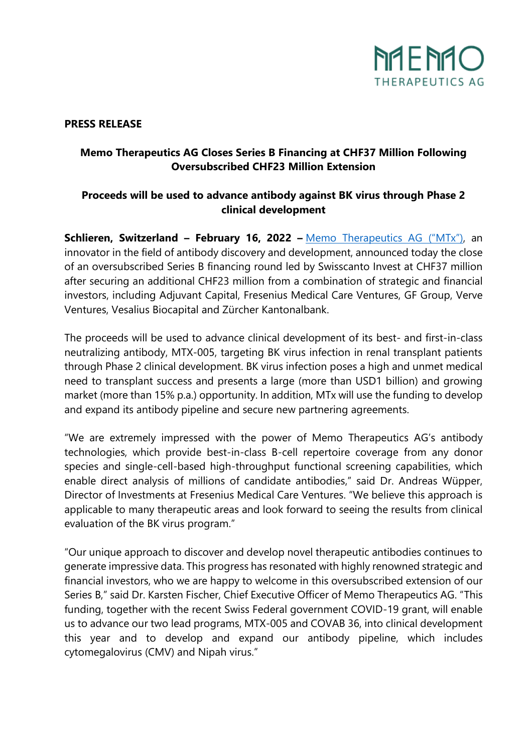

#### **PRESS RELEASE**

# **Memo Therapeutics AG Closes Series B Financing at CHF37 Million Following Oversubscribed CHF23 Million Extension**

# **Proceeds will be used to advance antibody against BK virus through Phase 2 clinical development**

**Schlieren, Switzerland – February 16, 2022 –** [Memo Therapeutics AG](https://memo-therapeutics.com/home.html) ("MTx"), an innovator in the field of antibody discovery and development, announced today the close of an oversubscribed Series B financing round led by Swisscanto Invest at CHF37 million after securing an additional CHF23 million from a combination of strategic and financial investors, including Adjuvant Capital, Fresenius Medical Care Ventures, GF Group, Verve Ventures, Vesalius Biocapital and Zürcher Kantonalbank.

The proceeds will be used to advance clinical development of its best- and first-in-class neutralizing antibody, MTX-005, targeting BK virus infection in renal transplant patients through Phase 2 clinical development. BK virus infection poses a high and unmet medical need to transplant success and presents a large (more than USD1 billion) and growing market (more than 15% p.a.) opportunity. In addition, MTx will use the funding to develop and expand its antibody pipeline and secure new partnering agreements.

"We are extremely impressed with the power of Memo Therapeutics AG's antibody technologies, which provide best-in-class B-cell repertoire coverage from any donor species and single-cell-based high-throughput functional screening capabilities, which enable direct analysis of millions of candidate antibodies," said Dr. Andreas Wüpper, Director of Investments at Fresenius Medical Care Ventures. "We believe this approach is applicable to many therapeutic areas and look forward to seeing the results from clinical evaluation of the BK virus program."

"Our unique approach to discover and develop novel therapeutic antibodies continues to generate impressive data. This progress has resonated with highly renowned strategic and financial investors, who we are happy to welcome in this oversubscribed extension of our Series B," said Dr. Karsten Fischer, Chief Executive Officer of Memo Therapeutics AG. "This funding, together with the recent Swiss Federal government COVID-19 grant, will enable us to advance our two lead programs, MTX-005 and COVAB 36, into clinical development this year and to develop and expand our antibody pipeline, which includes cytomegalovirus (CMV) and Nipah virus."